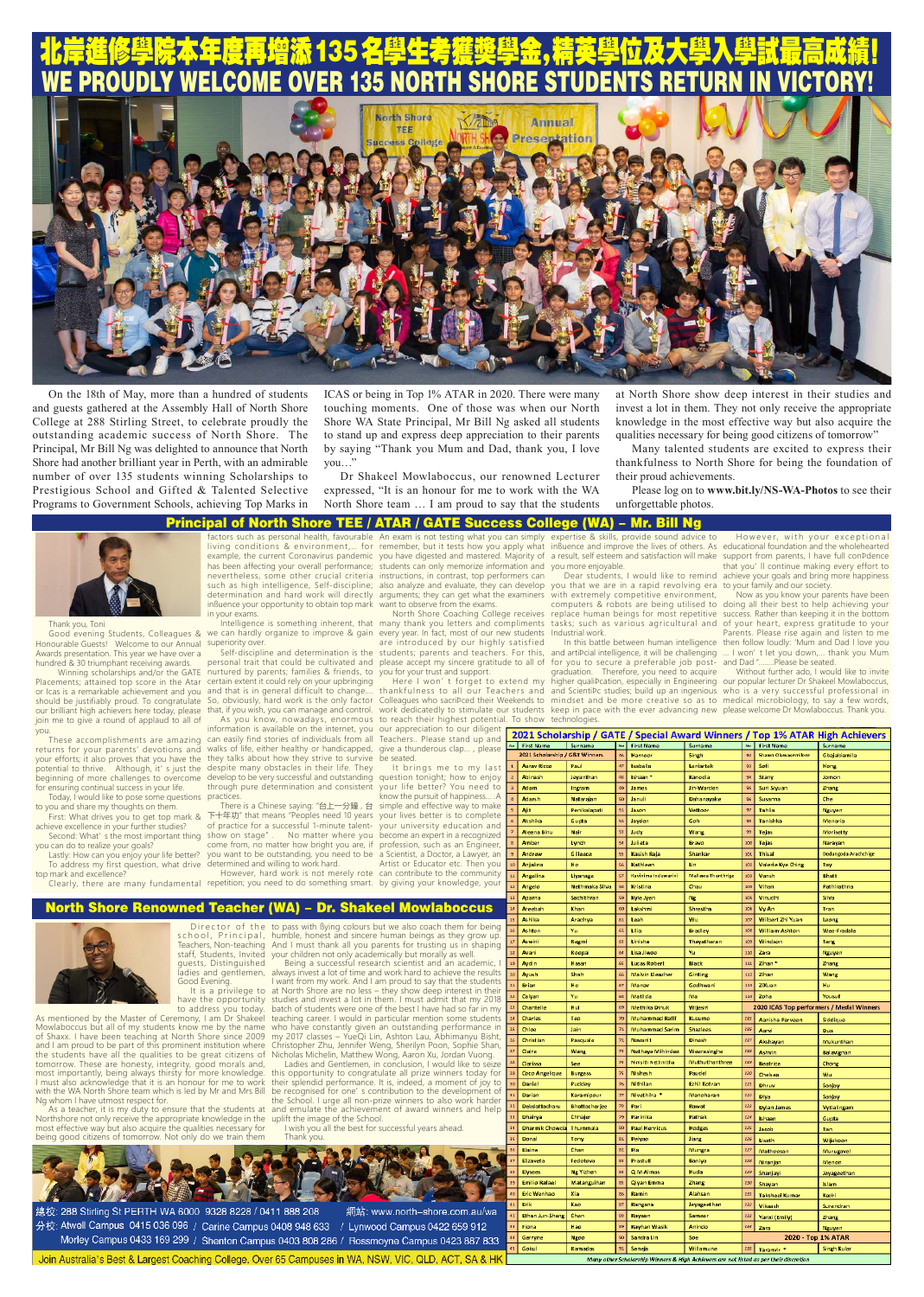guests, Distinguished ladies and gentlemen, It is a privilege to at North Shore are no less – they show deep interest in their have the opportunity studies and invest a lot in them. I must admit that my 2018 to address you today. batch of students were one of the best I have had so far in my Being a successful research scientist and an academic, always invest a lot of time and work hard to achieve the results I want from my work. And I am proud to say that the students teaching career. I would in particular mention some students who have constantly given an outstanding performance in

As mentioned by the Master of Ceremony, I am Dr Shakeel my students know me by the name

Good Evening.

and I am proud to be part of this prominent institution where the students have all the qualities to be great citizens of Nicholas Michelin, Matthew Wong, Aaron Xu, Jordan Vuong. tomorrow. These are honesty, integrity, good morals and, most importantly, being always thirsty for more knowledge. I must also acknowledge that it is an honour for me to work with the WA North Shore team which is led by Mr and Mrs Bill Ng whom I have utmost respect for.

Director of the to pass with Bying colours but we also coach them for being school, Principal, humble, honest and sincere human beings as they grow up. Teachers, Non-teaching staff, Students, Invited your children not only academically but morally as well. And I must thank all you parents for trusting us in shaping

Northshore not only receive the appropriate knowledge in the uplift the image of the School. most effective way but also acquire the qualities necessary for being good citizens of tomorrow. Not only do we train them

As a teacher, it is my duty to ensure that the students at and emulate the achievement of award winners and help this opportunity to congratulate all prize winners today for their splendid performance. It is, indeed, a moment of joy to be recognised for one' s contribution to the development of the School. I urge all non-prize winners to also work harder

of Shaxx. I have been teaching at North Shore since 2009 my 2017 classes – YueQi Lin, Ashton Lau, Abhimanyu Bisht, Christopher Zhu, Jennifer Weng, Sherilyn Poon, Sophie Shan, Ladies and Gentlemen, in conclusion, I would like to seize

> I wish you all the best for successful years ahead. Thank you.



網站: www.north-shore.com.au/wa 總校: 288 Stirling St PERTH WA 6000 9328 8228 / 0411 888 208 分校: Atwell Campus 0415 036 096 / Carine Campus 0408 948 633 / Lynwood Campus 0422 659 912 Morley Campus 0433 169 299 / Shenton Campus 0403 808 286 / Rossmoyne Campus 0423 887 833

Join Australia's Best & Largest Coaching College. Over 65 Campuses in WA, NSW, VIC, QLD, ACT, SA & HK

you can do to realize your goals? Lastly: How can you enjoy your life better?

we can hardly organize to improve & gain every year. In fact, most of our new students Industrial work. superiority over.

Thank you, Toni

Clearly, there are many fundamental repetition; you need to do something smart. by giving your knowledge, your However, hard work is not merely rote

Good evening Students, Colleagues & Honourable Guests! Welcome to our Annual Awards presentation. This year we have over a hundred & 30 triumphant receiving awards.

Placements; attained top score in the Atar or Icas is a remarkable achievement and you should be justifiably proud. To congratulate our brilliant high achievers here today, please join me to give a round of applaud to all of you.

These accomplishments are amazing returns for your parents' devotions and your efforts; it also proves that you have the potential to thrive. Although, it' s just the beginning of more challenges to overcome for ensuring continual success in your life.

Today, I would like to pose some questions to you and share my thoughts on them.

It brings me to my last question tonight; how to enjoy your life better? You need to know the pursuit of happiness… .A simple and effective way to make your lives better is to complete your university education and become an expert in a recognized profession, such as an Engineer, a Scientist, a Doctor, a Lawyer, an Artist or Educator etc. Then you

First: What drives you to get top mark & achieve excellence in your further studies? Second: What' s the most important thing

To address my first question, what drive top mark and excellence?

 Winning scholarships and/or the GATE nurtured by parents; families & friends, to certain extent it could rely on your upbringing and that is in general difficult to change....<br>So, obviously, hard work is the only factor So, obviously, hard work is the only factor that, if you wish, you can manage and control.

Colleagues who sacriÞced their Weekends to mindset and be more creative so as to medical microbiology, to say a few words, and arti¤cial intelligence, it will be challenging for you to secure a preferable job postgraduation. Therefore, you need to acquire technologies.

example, the current Coronavirus pandemic has been affecting your overall performance; nevertheless, some other crucial criteria determination and hard work will directly arguments; they can get what the examiners influence your opportunity to obtain top mark want to observe from the exams. in your exams.

> higher qualiÞcation, especially in Engineering our popular lecturer Dr Shakeel Mowlaboccus, and Scientific studies; build up an ingenious who is a very successful professional in keep in pace with the ever advancing new please welcome Dr Mowlaboccus. Thank you. Without further ado, I would like to invite

| 2021 Scholarship / GATE / Special Award Winners / Top 1% ATAR High Achievers |                                 |                                 |                |                       |                           |                    |                                             |                      |
|------------------------------------------------------------------------------|---------------------------------|---------------------------------|----------------|-----------------------|---------------------------|--------------------|---------------------------------------------|----------------------|
|                                                                              | No First Name                   | Surname                         | $\mathsf{No}$  | <b>First Name</b>     | Surname                   | $\mathbf{M}\sigma$ | <b>First Name</b>                           | Surname              |
|                                                                              | 2021 Scholarship / G&T Winners  |                                 | 46             | Harnoor               | Singh                     | 92                 | Shawn Oluwasemilore                         | Ghajahiamila         |
| $\mathbf{1}$                                                                 | <b>Aarav Ricco</b>              | Paul                            | 47             | Isabella              | Leniartek                 | 93                 | Sofi                                        | Hong                 |
| $\overline{z}$                                                               | Abinash                         | Jevanthan                       | 48             | Ishaan*               | Kanodia                   | 94                 | Stany                                       | Jomon                |
| $\overline{a}$                                                               | Adam                            | Ingram                          | 49             | James                 | lin-Warden                | 95                 | Suri Siyuan                                 | Zhang                |
| 4                                                                            | Adarsh                          | Natarajan                       | 50             | Januli                | Dahanayake                | 96                 | Susanna                                     | Che                  |
| 5                                                                            | Ajit                            | Penikalapati                    | 51             | Jason                 | Vettoor                   | 97                 | <b>Tahlia</b>                               | <b>Nguyen</b>        |
| 6                                                                            | Akshika                         | Gupta                           | 52             | Jayden                | Goh                       | 98                 | Tanishka                                    | Menaria              |
| $\overline{z}$                                                               | Aleena Binu                     | Nair                            | 53             | Judy                  | Wang                      | 99                 | <b>Tejas</b>                                | Morisetty            |
| $\mathbf{z}$                                                                 | Amber                           | Lynch                           | 54             | Julieta               | Bravo                     | 100                | <b>Tejas</b>                                | Naravan              |
| g.                                                                           | Andrew                          | Gilleece                        | 55             | Kasish Raja           | Shankar                   | 101                | <b>Thisal</b>                               | Dodangoda Arachchige |
| 10 <sup>10</sup>                                                             | Anjalina                        | Ho                              | 56             | Kathleen              | lin                       | 102                | Valerie Kye Ching                           | Tav                  |
| 11                                                                           | Angelina                        | Liyanage                        | 57             | Kavinima Induwarini   | <b>Mallawa Thanthrige</b> | 103                | Vansh                                       | Bhatt                |
| ${\bf 12}$                                                                   | Angelo                          | Nethmaka Silva                  | 58             | Kristina              | Chau                      | 104                | Vihan                                       | Pathirathna          |
| 13                                                                           | Aparna                          | Sachithran                      | 59             | Kyle Iven             | Ng                        | 105                | Vinudhi                                     | Silva                |
| 14                                                                           | Areebah                         | Khan                            | 60             | Lakshmi               | Shrestha                  | 106                | Vy An                                       | Tran                 |
| 15                                                                           | <b>Ashika</b>                   | Aradhya                         | 61             | Leah                  | Wu                        | 107                | Wilbert Zhi Yuan                            | Leong                |
| 16                                                                           | Ashton                          | Yu                              | 62             | Lilia                 | <b>Bradley</b>            | 108                | William-Ashton                              | Wee-Fradale          |
| 17                                                                           | Aswini                          | Regmi                           | 63             | Linisha               | Thayatharan               | 109                | Windson                                     | Tang                 |
| 18                                                                           | Avani                           | Roopai                          | 64             | Lisa liwoo            | Yu                        | 110                | Zara                                        | Nguyen               |
| 19                                                                           | Avdin                           | Hasan                           | 65             | <b>Lucas Robert</b>   | Black                     | 111                | Zihan*                                      | Zhang                |
| 20                                                                           | Avush                           | Shah                            | 66             | Malvin Eleazher       | Ginting                   | 112                | Zihan                                       | Wang                 |
| 21                                                                           | <b>Brian</b>                    | Ho                              | 67             | Manay                 | Godhwani                  | 113                | ZiXuan                                      | Hu                   |
| 22                                                                           | Caivan                          | Yu                              | 68             | Matilda               | Ma                        | 114                | Zoha                                        | Yousuf               |
| 23                                                                           | Chantelle                       | Hui                             | 69             | Methika Dinuk         | Wijesiri                  |                    | 2020 ICAS Top performers / Medal Winners    |                      |
| 24                                                                           | Charles                         | Teo                             | 70             | <b>Muhammad Rafif</b> | Kusumo                    | 225                | Aanisha Parveen                             | Siddique             |
| 25                                                                           | Chloe                           | Jain                            | 71             | <b>Muhammad Sarim</b> | <b>Shazlees</b>           | 226                | Aarvi                                       | Dua                  |
| 26                                                                           | Christian                       | Pasquale                        | 72             | Navanit               | Dinesh                    | 227                | Akshayan                                    | Mukunthan            |
|                                                                              |                                 |                                 |                |                       |                           |                    |                                             |                      |
| 27                                                                           | Claire                          | Wang                            | 73             | Nethaya Mihindee      | Weerasinghe               | 228                |                                             |                      |
| 28                                                                           |                                 |                                 | 74             | Nimsith Nethmitha     | Muthuthanthree            | 229                | Ashvin                                      | Balavignan           |
| 29                                                                           | Clarissa                        | See                             | 75             | Nishesh               | Paudel                    | 220                | <b>Beatrice</b>                             | Chong                |
| 30                                                                           | Coco Angelique<br>Daniel        | <b>Burgess</b><br>Puddev        | 76             | Nithilan              | Ezhil Kotran              | 222                | Chelsea                                     | Wu                   |
| 31                                                                           | Darian                          |                                 | $\overline{H}$ |                       |                           | 222                | Dhruv                                       | Sanjay               |
| 32                                                                           |                                 | Karamipour                      | 78             | Nivethiha *<br>Pari   | Manoharan                 | 123                | Diya                                        | Sanjay               |
| 99                                                                           | Debdattacharu<br>Dhairya        | <b>Bhattacharjee</b><br>Chhajer | 79             | Parinika              | Rawat<br>Pathak           | 224                | <b>Dylan James</b>                          | Wtialingam           |
| 34                                                                           |                                 |                                 | 80             |                       |                           | 125                | <b>Ishaan</b>                               | Gupta                |
| 35                                                                           | Dharmik Chowda                  | Thummala                        | 81             | <b>Paul Henricus</b>  | Hodges                    | 226                | lacob                                       | Tan                  |
|                                                                              | Donal                           | Tony                            | 82             | Pelyao<br>Pia         | Jiang                     |                    | Lisath                                      | Wijekoon             |
| 36<br>37                                                                     | Elaine<br>Elizaveta             | Chan<br>Fedotova                | 83             | Prastuti              | Mungra                    | 127<br>128         | Mathoosan                                   | Murugavel            |
| 38                                                                           |                                 |                                 | 84             |                       | Baniya                    | 129                | Niranjan                                    | Menon                |
| 39                                                                           | Elysees<br><b>Emilio Rafael</b> | <b>Ng Yizhen</b>                | 85             | Q M Almas             | Huda                      | 130                | Shanjavi                                    | Jeyageethan          |
| 40                                                                           | Eric Wenhao                     | Matanguihan<br>Xia              | 86             | Qiyan Emma<br>Ramin   | Zhang<br>Alahsan          | 131                | Shavan                                      | Islam                |
| 41                                                                           | Erik                            | Kao                             | 87             |                       |                           | 132                | <b>Taksheel Kumar</b>                       | Kadri                |
| 42                                                                           | Ethan Jun-Sheng                 | Chen                            | 88             | Rangana<br>Rayaan     | leyageethan<br>Sameer     | 133                | Vikaash                                     | Surendran            |
| 43                                                                           | Fiona                           | Hao                             | 89             | Rayhan Wasik          | Anindo                    | 134                | Yanxi (Emily)                               | Zhang                |
| 44                                                                           | Gerryne                         | Ngoo                            | 90             | Sandra Lin            | Soe                       |                    | Zara                                        | Nguyen               |
| 45                                                                           | Gokul                           | Ramadas                         | 91             | Seneja                | Willamune                 | 135                | 2020 - Top 1% ATAR<br>Taranvir <sup>*</sup> | <b>Singh Kular</b>   |

factors such as personal health, favourable An exam is not testing what you can simply living conditions & environment,… for remember, but it tests how you apply what inßuence and improve the lives of others. As educational foundation and the wholehearted such as high intelligence, Self-discipline; also analyze and evaluate, they can develop you have digested and mastered. Majority of a result, self esteem and satisfaction will make support from parents, I have full conÞdence students can only memorize information and you more enjoyable. instructions, in contrast, top performers can

As you know, nowadays, enormous information is available on the internet, you our appreciation to our diligent can easily find stories of individuals from all walks of life, either healthy or handicapped, they talks about how they strive to survive despite many obstacles in their life. They develop to be very successful and outstanding through pure determination and consistent practices.

Intelligence is something inherent, that many thank you letters and compliments Self-discipline and determination is the students; parents and teachers. For this, personal trait that could be cultivated and please accept my sincere gratitude to all of North Shore Coaching College receives are introduced by our highly satisfied

There is a Chinese saying: "台上一分鐘 , 台 下十年功" that means "Peoples need 10 years of practice for a successful 1-minute talentshow on stage" . No matter where you come from, no matter how bright you are, if you want to be outstanding, you need to be determined and willing to work hard.

you for your trust and support. Here I won't forget to extend my thankfulness to all our Teachers and work dedicatedly to stimulate our students to reach their highest potential. To show

Teachers.. Please stand up and give a thunderous clap... , please be seated.

can contribute to the community

expertise & skills, provide sound advice to

you that we are in a rapid revolving era to your family and our society. with extremely competitive environment,

Dear students, I would like to remind achieve your goals and bring more happiness However, with your exceptional that you' ll continue making every effort to

computers & robots are being utilised to doing all their best to help achieving your replace human beings for most repetitive success. Rather than keeping it in the bottom tasks; such as various agricultural and of your heart, express gratitude to your In this battle between human intelligence then follow loudly: 'Mum and Dad I love you Now as you know your parents have been Parents. Please rise again and listen to me … I won' t let you down,... thank you Mum and Dad "........Please be seated.

#### North Shore Renowned Teacher (WA) - Dr. Shakeel Mowlaboccus

# 北岸進修學院本年度再增添 135 名学生考獲奖学金,精英学位及大学人学試最高成績! PROUDLY WELCOME OVER 135 NORTH SHORE STUDE



On the 18th of May, more than a hundred of students and guests gathered at the Assembly Hall of North Shore College at 288 Stirling Street, to celebrate proudly the outstanding academic success of North Shore. The Principal, Mr Bill Ng was delighted to announce that North Shore had another brilliant year in Perth, with an admirable number of over 135 students winning Scholarships to Prestigious School and Gifted & Talented Selective Programs to Government Schools, achieving Top Marks in ICAS or being in Top 1% ATAR in 2020. There were many touching moments. One of those was when our North Shore WA State Principal, Mr Bill Ng asked all students to stand up and express deep appreciation to their parents by saying "Thank you Mum and Dad, thank you, I love you…"

Dr Shakeel Mowlaboccus, our renowned Lecturer expressed, "It is an honour for me to work with the WA North Shore team … I am proud to say that the students at North Shore show deep interest in their studies and invest a lot in them. They not only receive the appropriate knowledge in the most effective way but also acquire the qualities necessary for being good citizens of tomorrow"

Many talented students are excited to express their thankfulness to North Shore for being the foundation of their proud achievements.

Please log on to **www.bit.ly/NS-WA-Photos** to see their unforgettable photos.

#### Principal of North Shore TEE / ATAR / GATE Success College (WA) - Mr. Bill Ng